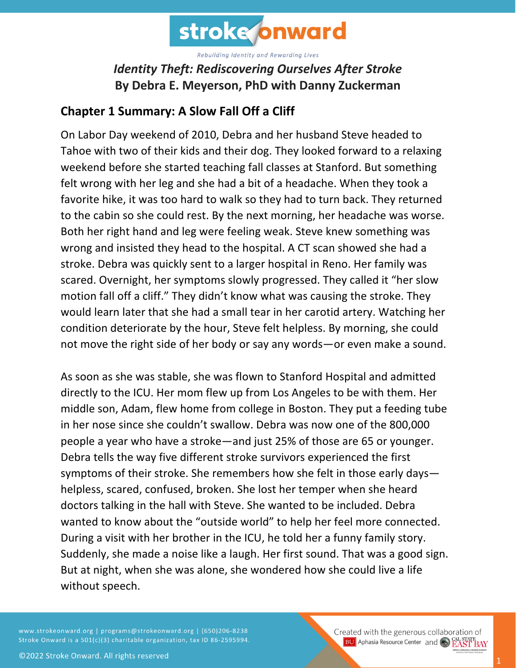

## *Identity Theft: Rediscovering Ourselves After Stroke* **By Debra E. Meyerson, PhD with Danny Zuckerman**

## **Chapter 1 Summary: A Slow Fall Off a Cliff**

On Labor Day weekend of 2010, Debra and her husband Steve headed to Tahoe with two of their kids and their dog. They looked forward to a relaxing weekend before she started teaching fall classes at Stanford. But something felt wrong with her leg and she had a bit of a headache. When they took a favorite hike, it was too hard to walk so they had to turn back. They returned to the cabin so she could rest. By the next morning, her headache was worse. Both her right hand and leg were feeling weak. Steve knew something was wrong and insisted they head to the hospital. A CT scan showed she had a stroke. Debra was quickly sent to a larger hospital in Reno. Her family was scared. Overnight, her symptoms slowly progressed. They called it "her slow motion fall off a cliff." They didn't know what was causing the stroke. They would learn later that she had a small tear in her carotid artery. Watching her condition deteriorate by the hour, Steve felt helpless. By morning, she could not move the right side of her body or say any words—or even make a sound.

As soon as she was stable, she was flown to Stanford Hospital and admitted directly to the ICU. Her mom flew up from Los Angeles to be with them. Her middle son, Adam, flew home from college in Boston. They put a feeding tube in her nose since she couldn't swallow. Debra was now one of the 800,000 people a year who have a stroke—and just 25% of those are 65 or younger. Debra tells the way five different stroke survivors experienced the first symptoms of their stroke. She remembers how she felt in those early days helpless, scared, confused, broken. She lost her temper when she heard doctors talking in the hall with Steve. She wanted to be included. Debra wanted to know about the "outside world" to help her feel more connected. During a visit with her brother in the ICU, he told her a funny family story. Suddenly, she made a noise like a laugh. Her first sound. That was a good sign. But at night, when she was alone, she wondered how she could live a life without speech.

www.strokeonward.org | programs@strokeonward.org | (650)206-8238 Stroke Onward is a 501(c)(3) charitable organization, tax ID 86-2595994. Created with the generous collaboration of **BU** Aphasia Resource Center and **COL STATE BAY**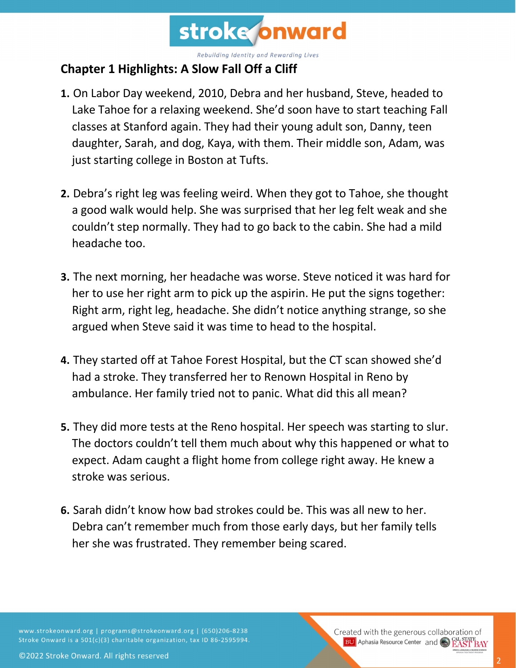

## **Chapter 1 Highlights: A Slow Fall Off a Cliff**

- **1.** On Labor Day weekend, 2010, Debra and her husband, Steve, headed to Lake Tahoe for a relaxing weekend. She'd soon have to start teaching Fall classes at Stanford again. They had their young adult son, Danny, teen daughter, Sarah, and dog, Kaya, with them. Their middle son, Adam, was just starting college in Boston at Tufts.
- **2.** Debra's right leg was feeling weird. When they got to Tahoe, she thought a good walk would help. She was surprised that her leg felt weak and she couldn't step normally. They had to go back to the cabin. She had a mild headache too.
- **3.** The next morning, her headache was worse. Steve noticed it was hard for her to use her right arm to pick up the aspirin. He put the signs together: Right arm, right leg, headache. She didn't notice anything strange, so she argued when Steve said it was time to head to the hospital.
- **4.** They started off at Tahoe Forest Hospital, but the CT scan showed she'd had a stroke. They transferred her to Renown Hospital in Reno by ambulance. Her family tried not to panic. What did this all mean?
- **5.** They did more tests at the Reno hospital. Her speech was starting to slur. The doctors couldn't tell them much about why this happened or what to expect. Adam caught a flight home from college right away. He knew a stroke was serious.
- **6.** Sarah didn't know how bad strokes could be. This was all new to her. Debra can't remember much from those early days, but her family tells her she was frustrated. They remember being scared.

www.strokeonward.org | programs@strokeonward.org | (650)206-8238 Stroke Onward is a 501(c)(3) charitable organization, tax ID 86-2595994.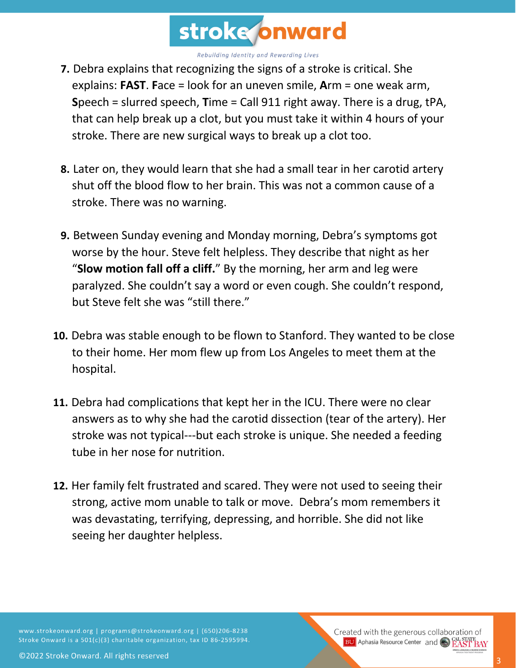

- **7.** Debra explains that recognizing the signs of a stroke is critical. She explains: **FAST**. **F**ace = look for an uneven smile, **A**rm = one weak arm, **S**peech = slurred speech, **T**ime = Call 911 right away. There is a drug, tPA, that can help break up a clot, but you must take it within 4 hours of your stroke. There are new surgical ways to break up a clot too.
- **8.** Later on, they would learn that she had a small tear in her carotid artery shut off the blood flow to her brain. This was not a common cause of a stroke. There was no warning.
- **9.** Between Sunday evening and Monday morning, Debra's symptoms got worse by the hour. Steve felt helpless. They describe that night as her "**Slow motion fall off a cliff.**" By the morning, her arm and leg were paralyzed. She couldn't say a word or even cough. She couldn't respond, but Steve felt she was "still there."
- **10.** Debra was stable enough to be flown to Stanford. They wanted to be close to their home. Her mom flew up from Los Angeles to meet them at the hospital.
- **11.** Debra had complications that kept her in the ICU. There were no clear answers as to why she had the carotid dissection (tear of the artery). Her stroke was not typical---but each stroke is unique. She needed a feeding tube in her nose for nutrition.
- **12.** Her family felt frustrated and scared. They were not used to seeing their strong, active mom unable to talk or move. Debra's mom remembers it was devastating, terrifying, depressing, and horrible. She did not like seeing her daughter helpless.

www.strokeonward.org | programs@strokeonward.org | (650)206-8238 Stroke Onward is a 501(c)(3) charitable organization, tax ID 86-2595994. Created with the generous collaboration of **BU** Aphasia Resource Center and CO **EAST BAY**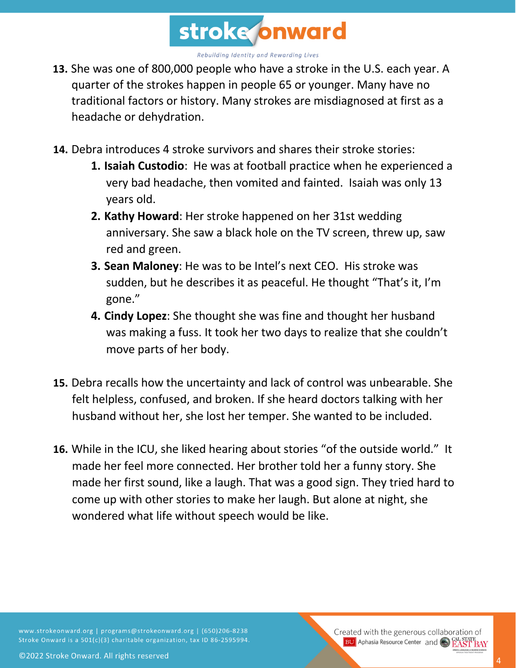

- **13.** She was one of 800,000 people who have a stroke in the U.S. each year. A quarter of the strokes happen in people 65 or younger. Many have no traditional factors or history. Many strokes are misdiagnosed at first as a headache or dehydration.
- **14.** Debra introduces 4 stroke survivors and shares their stroke stories:
	- **1. Isaiah Custodio**: He was at football practice when he experienced a very bad headache, then vomited and fainted. Isaiah was only 13 years old.
	- **2. Kathy Howard**: Her stroke happened on her 31st wedding anniversary. She saw a black hole on the TV screen, threw up, saw red and green.
	- **3. Sean Maloney**: He was to be Intel's next CEO. His stroke was sudden, but he describes it as peaceful. He thought "That's it, I'm gone."
	- **4. Cindy Lopez**: She thought she was fine and thought her husband was making a fuss. It took her two days to realize that she couldn't move parts of her body.
- **15.** Debra recalls how the uncertainty and lack of control was unbearable. She felt helpless, confused, and broken. If she heard doctors talking with her husband without her, she lost her temper. She wanted to be included.
- **16.** While in the ICU, she liked hearing about stories "of the outside world." It made her feel more connected. Her brother told her a funny story. She made her first sound, like a laugh. That was a good sign. They tried hard to come up with other stories to make her laugh. But alone at night, she wondered what life without speech would be like.

www.strokeonward.org | programs@strokeonward.org | (650)206-8238 Stroke Onward is a 501(c)(3) charitable organization, tax ID 86-2595994. Created with the generous collaboration of **BU** Aphasia Resource Center and CO **EAST BAY**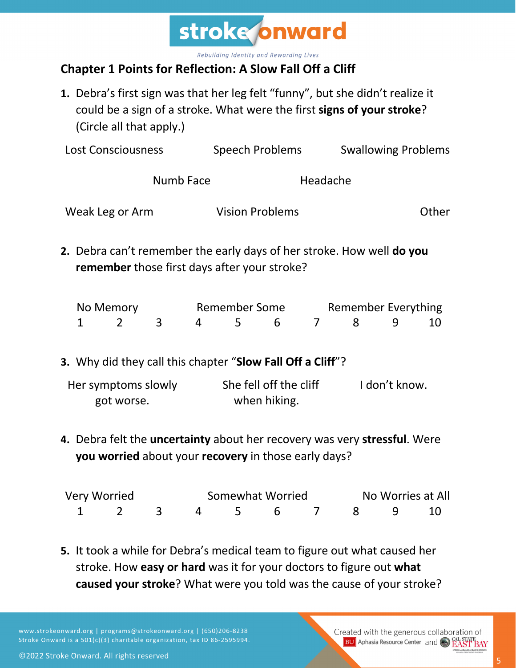

## **Chapter 1 Points for Reflection: A Slow Fall Off a Cliff**

**1.** Debra's first sign was that her leg felt "funny", but she didn't realize it could be a sign of a stroke. What were the first **signs of your stroke**? (Circle all that apply.)

| <b>Lost Consciousness</b>                                                                                                                        |                 |                | Speech Problems                     |                        |               | <b>Swallowing Problems</b>      |   |    |
|--------------------------------------------------------------------------------------------------------------------------------------------------|-----------------|----------------|-------------------------------------|------------------------|---------------|---------------------------------|---|----|
|                                                                                                                                                  | Numb Face       | Headache       |                                     |                        |               |                                 |   |    |
|                                                                                                                                                  | Weak Leg or Arm |                |                                     | <b>Vision Problems</b> | Other         |                                 |   |    |
| 2. Debra can't remember the early days of her stroke. How well <b>do you</b><br>remember those first days after your stroke?                     |                 |                |                                     |                        |               |                                 |   |    |
| No Memory<br>$\overline{2}$<br>1                                                                                                                 | $\mathbf{3}$    | $\overline{4}$ | <b>Remember Some</b><br>$5^{\circ}$ | 6                      | 7             | <b>Remember Everything</b><br>8 | 9 | 10 |
| 3. Why did they call this chapter "Slow Fall Off a Cliff"?                                                                                       |                 |                |                                     |                        |               |                                 |   |    |
| Her symptoms slowly<br>got worse.                                                                                                                |                 | when hiking.   | She fell off the cliff              |                        | I don't know. |                                 |   |    |
| 4. Debra felt the <b>uncertainty</b> about her recovery was very <b>stressful</b> . Were<br>you worried about your recovery in those early days? |                 |                |                                     |                        |               |                                 |   |    |

| Very Worried |                      |  | Somewhat Worried |  |  |  | No Worries at All |  |  |
|--------------|----------------------|--|------------------|--|--|--|-------------------|--|--|
|              | 1 2 3 4 5 6 7 8 9 10 |  |                  |  |  |  |                   |  |  |

**5.** It took a while for Debra's medical team to figure out what caused her stroke. How **easy or hard** was it for your doctors to figure out **what caused your stroke**? What were you told was the cause of your stroke?

www.strokeonward.org | programs@strokeonward.org | (650)206-8238 Stroke Onward is a 501(c)(3) charitable organization, tax ID 86-2595994.

Created with the generous collaboration of **BU** Aphasia Resource Center and **COL STATE BAY**